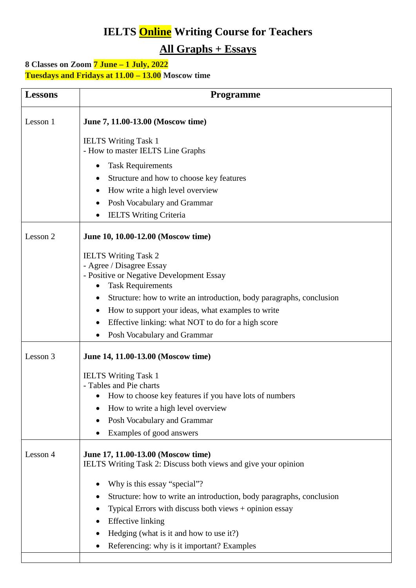## **IELTS Online Writing Course for Teachers**

## **All Graphs + Essays**

## **8 Classes on Zoom 7 June – 1 July, 2022 Tuesdays and Fridays at 11.00 – 13.00 Moscow time**

| <b>Lessons</b> | Programme                                                                                            |
|----------------|------------------------------------------------------------------------------------------------------|
| Lesson 1       | June 7, 11.00-13.00 (Moscow time)                                                                    |
|                | <b>IELTS Writing Task 1</b><br>- How to master IELTS Line Graphs                                     |
|                | <b>Task Requirements</b>                                                                             |
|                | Structure and how to choose key features                                                             |
|                | How write a high level overview                                                                      |
|                | Posh Vocabulary and Grammar                                                                          |
|                | <b>IELTS Writing Criteria</b>                                                                        |
| Lesson 2       | June 10, 10.00-12.00 (Moscow time)                                                                   |
|                | <b>IELTS Writing Task 2</b>                                                                          |
|                | - Agree / Disagree Essay                                                                             |
|                | - Positive or Negative Development Essay                                                             |
|                | <b>Task Requirements</b>                                                                             |
|                | Structure: how to write an introduction, body paragraphs, conclusion                                 |
|                | How to support your ideas, what examples to write                                                    |
|                | Effective linking: what NOT to do for a high score                                                   |
|                | Posh Vocabulary and Grammar                                                                          |
| Lesson 3       | June 14, 11.00-13.00 (Moscow time)                                                                   |
|                | <b>IELTS Writing Task 1</b>                                                                          |
|                | - Tables and Pie charts                                                                              |
|                | How to choose key features if you have lots of numbers                                               |
|                | How to write a high level overview                                                                   |
|                | Posh Vocabulary and Grammar                                                                          |
|                | Examples of good answers                                                                             |
| Lesson 4       | June 17, 11.00-13.00 (Moscow time)<br>IELTS Writing Task 2: Discuss both views and give your opinion |
|                | Why is this essay "special"?                                                                         |
|                | Structure: how to write an introduction, body paragraphs, conclusion                                 |
|                | Typical Errors with discuss both views + opinion essay                                               |
|                | <b>Effective linking</b>                                                                             |
|                | Hedging (what is it and how to use it?)                                                              |
|                | Referencing: why is it important? Examples                                                           |
|                |                                                                                                      |